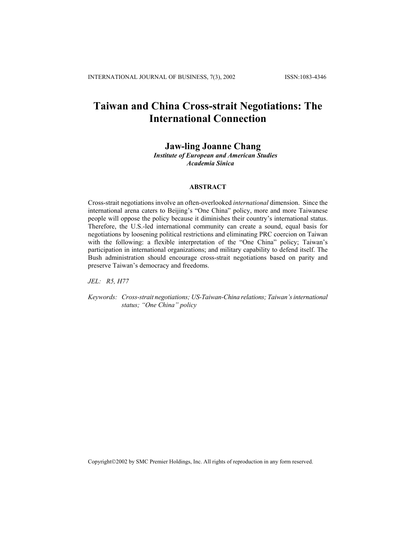# **Taiwan and China Cross-strait Negotiations: The International Connection**

## **Jaw-ling Joanne Chang**

 *Institute of European and American Studies Academia Sinica*

## **ABSTRACT**

Cross-strait negotiations involve an often-overlooked *international* dimension. Since the international arena caters to Beijing's "One China" policy, more and more Taiwanese people will oppose the policy because it diminishes their country's international status. Therefore, the U.S.-led international community can create a sound, equal basis for negotiations by loosening political restrictions and eliminating PRC coercion on Taiwan with the following: a flexible interpretation of the "One China" policy; Taiwan's participation in international organizations; and military capability to defend itself. The Bush administration should encourage cross-strait negotiations based on parity and preserve Taiwan's democracy and freedoms.

*JEL: R5, H77* 

*Keywords: Cross-strait negotiations; US-Taiwan-China relations; Taiwan's international status; "One China" policy*

Copyright©2002 by SMC Premier Holdings, Inc. All rights of reproduction in any form reserved.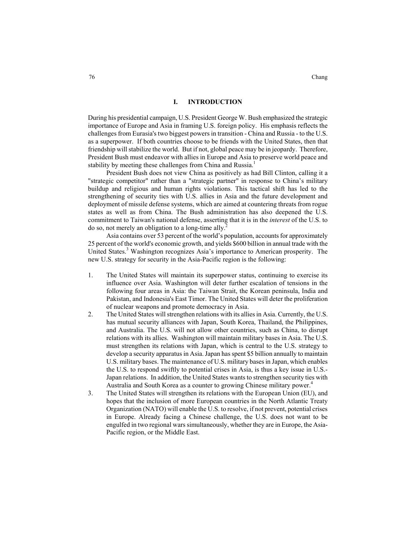#### **I. INTRODUCTION**

During his presidential campaign, U.S. President George W. Bush emphasized the strategic importance of Europe and Asia in framing U.S. foreign policy. His emphasis reflects the challenges from Eurasia's two biggest powers in transition - China and Russia - to the U.S. as a superpower. If both countries choose to be friends with the United States, then that friendship will stabilize the world. But if not, global peace may be in jeopardy. Therefore, President Bush must endeavor with allies in Europe and Asia to preserve world peace and stability by meeting these challenges from China and Russia.<sup>1</sup>

President Bush does not view China as positively as had Bill Clinton, calling it a "strategic competitor" rather than a "strategic partner" in response to China's military buildup and religious and human rights violations. This tactical shift has led to the strengthening of security ties with U.S. allies in Asia and the future development and deployment of missile defense systems, which are aimed at countering threats from rogue states as well as from China. The Bush administration has also deepened the U.S. commitment to Taiwan's national defense, asserting that it is in the *interest* of the U.S. to do so, not merely an obligation to a long-time ally.<sup>2</sup>

Asia contains over 53 percent of the world's population, accounts for approximately 25 percent of the world's economic growth, and yields \$600 billion in annual trade with the United States.<sup>3</sup> Washington recognizes Asia's importance to American prosperity. The new U.S. strategy for security in the Asia-Pacific region is the following:

- 1. The United States will maintain its superpower status, continuing to exercise its influence over Asia. Washington will deter further escalation of tensions in the following four areas in Asia: the Taiwan Strait, the Korean peninsula, India and Pakistan, and Indonesia's East Timor. The United States will deter the proliferation of nuclear weapons and promote democracy in Asia.
- 2. The United States will strengthen relations with its allies in Asia. Currently, the U.S. has mutual security alliances with Japan, South Korea, Thailand, the Philippines, and Australia. The U.S. will not allow other countries, such as China, to disrupt relations with its allies. Washington will maintain military bases in Asia. The U.S. must strengthen its relations with Japan, which is central to the U.S. strategy to develop a security apparatus in Asia. Japan has spent \$5 billion annually to maintain U.S. military bases. The maintenance of U.S. military bases in Japan, which enables the U.S. to respond swiftly to potential crises in Asia, is thus a key issue in U.S.- Japan relations. In addition, the United States wants to strengthen security ties with Australia and South Korea as a counter to growing Chinese military power.<sup>4</sup>
- 3. The United States will strengthen its relations with the European Union (EU), and hopes that the inclusion of more European countries in the North Atlantic Treaty Organization (NATO) will enable the U.S. to resolve, if not prevent, potential crises in Europe. Already facing a Chinese challenge, the U.S. does not want to be engulfed in two regional wars simultaneously, whether they are in Europe, the Asia-Pacific region, or the Middle East.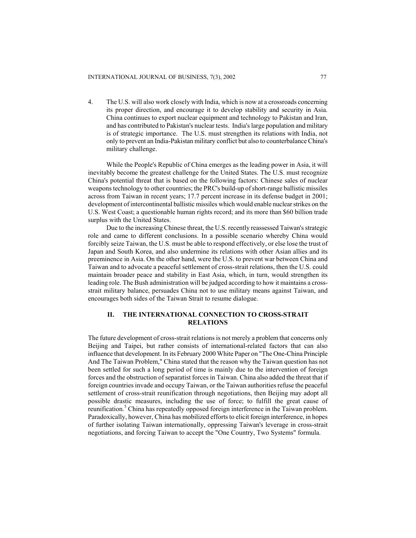4. The U.S. will also work closely with India, which is now at a crossroads concerning its proper direction, and encourage it to develop stability and security in Asia. China continues to export nuclear equipment and technology to Pakistan and Iran, and has contributed to Pakistan's nuclear tests. India's large population and military is of strategic importance. The U.S. must strengthen its relations with India, not only to prevent an India-Pakistan military conflict but also to counterbalance China's military challenge.

While the People's Republic of China emerges as the leading power in Asia, it will inevitably become the greatest challenge for the United States. The U.S. must recognize China's potential threat that is based on the following factors: Chinese sales of nuclear weapons technology to other countries; the PRC's build-up ofshort-range ballistic missiles across from Taiwan in recent years; 17.7 percent increase in its defense budget in 2001; development of intercontinental ballistic missiles which would enable nuclear strikes on the U.S. West Coast; a questionable human rights record; and its more than \$60 billion trade surplus with the United States.

Due to the increasing Chinese threat, the U.S. recently reassessed Taiwan's strategic role and came to different conclusions. In a possible scenario whereby China would forcibly seize Taiwan, the U.S. must be able to respond effectively, or else lose the trust of Japan and South Korea, and also undermine its relations with other Asian allies and its preeminence in Asia. On the other hand, were the U.S. to prevent war between China and Taiwan and to advocate a peaceful settlement of cross-strait relations, then the U.S. could maintain broader peace and stability in East Asia, which, in turn, would strengthen its leading role. The Bush administration will be judged according to how it maintains a crossstrait military balance, persuades China not to use military means against Taiwan, and encourages both sides of the Taiwan Strait to resume dialogue.

## **II. THE INTERNATIONAL CONNECTION TO CROSS-STRAIT RELATIONS**

The future development of cross-strait relations is not merely a problem that concerns only Beijing and Taipei, but rather consists of international-related factors that can also influence that development. In its February 2000 White Paper on "The One-China Principle And The Taiwan Problem," China stated that the reason why the Taiwan question has not been settled for such a long period of time is mainly due to the intervention of foreign forces and the obstruction of separatist forces in Taiwan. China also added the threat that if foreign countries invade and occupy Taiwan, or the Taiwan authorities refuse the peaceful settlement of cross-strait reunification through negotiations, then Beijing may adopt all possible drastic measures, including the use of force; to fulfill the great cause of reunification.<sup>5</sup> China has repeatedly opposed foreign interference in the Taiwan problem. Paradoxically, however, China has mobilized efforts to elicit foreign interference, in hopes of further isolating Taiwan internationally, oppressing Taiwan's leverage in cross-strait negotiations, and forcing Taiwan to accept the "One Country, Two Systems" formula.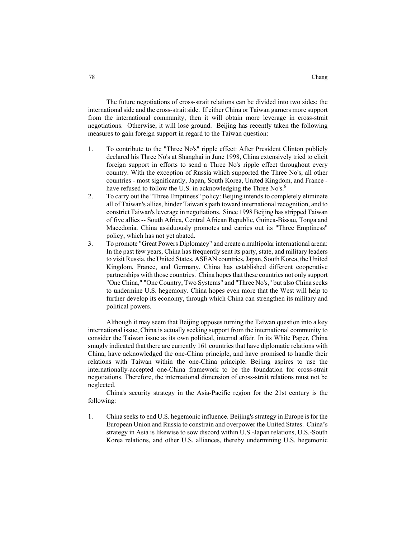The future negotiations of cross-strait relations can be divided into two sides: the international side and the cross-strait side. If either China or Taiwan garners more support from the international community, then it will obtain more leverage in cross-strait negotiations. Otherwise, it will lose ground. Beijing has recently taken the following measures to gain foreign support in regard to the Taiwan question:

- 1. To contribute to the "Three No's" ripple effect: After President Clinton publicly declared his Three No's at Shanghai in June 1998, China extensively tried to elicit foreign support in efforts to send a Three No's ripple effect throughout every country. With the exception of Russia which supported the Three No's, all other countries - most significantly, Japan, South Korea, United Kingdom, and France have refused to follow the U.S. in acknowledging the Three No's.<sup>6</sup>
- 2. To carry out the "Three Emptiness" policy: Beijing intends to completely eliminate all of Taiwan's allies, hinder Taiwan's path toward international recognition, and to constrict Taiwan's leverage in negotiations. Since 1998 Beijing has stripped Taiwan of five allies -- South Africa, Central African Republic, Guinea-Bissau, Tonga and Macedonia. China assiduously promotes and carries out its "Three Emptiness" policy, which has not yet abated.
- 3. To promote "Great Powers Diplomacy" and create a multipolar international arena: In the past few years, China has frequently sent its party, state, and military leaders to visit Russia, the United States, ASEAN countries, Japan, South Korea, the United Kingdom, France, and Germany. China has established different cooperative partnerships with those countries. China hopes that these countries not only support "One China," "One Country, Two Systems" and "Three No's," but also China seeks to undermine U.S. hegemony. China hopes even more that the West will help to further develop its economy, through which China can strengthen its military and political powers.

Although it may seem that Beijing opposes turning the Taiwan question into a key international issue, China is actually seeking support from the international community to consider the Taiwan issue as its own political, internal affair. In its White Paper, China smugly indicated that there are currently 161 countries that have diplomatic relations with China, have acknowledged the one-China principle, and have promised to handle their relations with Taiwan within the one-China principle. Beijing aspires to use the internationally-accepted one-China framework to be the foundation for cross-strait negotiations. Therefore, the international dimension of cross-strait relations must not be neglected.

China's security strategy in the Asia-Pacific region for the 21st century is the following:

1. China seeks to end U.S. hegemonic influence. Beijing's strategy in Europe is for the European Union and Russia to constrain and overpower the United States. China's strategy in Asia is likewise to sow discord within U.S.-Japan relations, U.S.-South Korea relations, and other U.S. alliances, thereby undermining U.S. hegemonic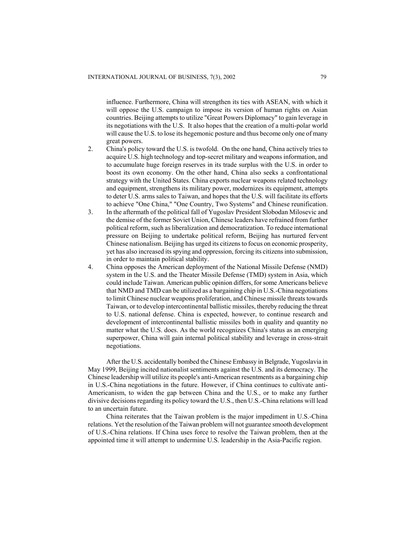influence. Furthermore, China will strengthen its ties with ASEAN, with which it will oppose the U.S. campaign to impose its version of human rights on Asian countries. Beijing attempts to utilize "Great Powers Diplomacy" to gain leverage in its negotiations with the U.S. It also hopes that the creation of a multi-polar world will cause the U.S. to lose its hegemonic posture and thus become only one of many great powers.

- 2. China's policy toward the U.S. is twofold. On the one hand, China actively tries to acquire U.S. high technology and top-secret military and weapons information, and to accumulate huge foreign reserves in its trade surplus with the U.S. in order to boost its own economy. On the other hand, China also seeks a confrontational strategy with the United States. China exports nuclear weapons related technology and equipment, strengthens its military power, modernizes its equipment, attempts to deter U.S. arms sales to Taiwan, and hopes that the U.S. will facilitate its efforts to achieve "One China," "One Country, Two Systems" and Chinese reunification.
- 3. In the aftermath of the political fall of Yugoslav President Slobodan Milosevic and the demise of the former Soviet Union, Chinese leaders have refrained from further political reform, such as liberalization and democratization. To reduce international pressure on Beijing to undertake political reform, Beijing has nurtured fervent Chinese nationalism. Beijing has urged its citizens to focus on economic prosperity, yet has also increased its spying and oppression, forcing its citizens into submission, in order to maintain political stability.
- 4. China opposes the American deployment of the National Missile Defense (NMD) system in the U.S. and the Theater Missile Defense (TMD) system in Asia, which could include Taiwan. American public opinion differs, for some Americans believe that NMD and TMD can be utilized as a bargaining chip in U.S.-China negotiations to limit Chinese nuclear weapons proliferation, and Chinese missile threats towards Taiwan, or to develop intercontinental ballistic missiles, thereby reducing the threat to U.S. national defense. China is expected, however, to continue research and development of intercontinental ballistic missiles both in quality and quantity no matter what the U.S. does. As the world recognizes China's status as an emerging superpower, China will gain internal political stability and leverage in cross-strait negotiations.

After the U.S. accidentally bombed the Chinese Embassy in Belgrade, Yugoslavia in May 1999, Beijing incited nationalist sentiments against the U.S. and its democracy. The Chinese leadership will utilize its people's anti-American resentments as a bargaining chip in U.S.-China negotiations in the future. However, if China continues to cultivate anti-Americanism, to widen the gap between China and the U.S., or to make any further divisive decisions regarding its policy toward the U.S., then U.S.-China relations will lead to an uncertain future.

China reiterates that the Taiwan problem is the major impediment in U.S.-China relations. Yet the resolution of the Taiwan problem will not guarantee smooth development of U.S.-China relations. If China uses force to resolve the Taiwan problem, then at the appointed time it will attempt to undermine U.S. leadership in the Asia-Pacific region.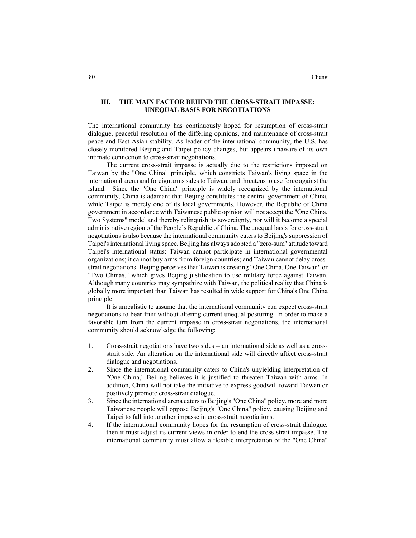#### 80 Chang

#### **III. THE MAIN FACTOR BEHIND THE CROSS-STRAIT IMPASSE: UNEQUAL BASIS FOR NEGOTIATIONS**

The international community has continuously hoped for resumption of cross-strait dialogue, peaceful resolution of the differing opinions, and maintenance of cross-strait peace and East Asian stability. As leader of the international community, the U.S. has closely monitored Beijing and Taipei policy changes, but appears unaware of its own intimate connection to cross-strait negotiations.

The current cross-strait impasse is actually due to the restrictions imposed on Taiwan by the "One China" principle, which constricts Taiwan's living space in the international arena and foreign arms sales to Taiwan, and threatens to use force against the island. Since the "One China" principle is widely recognized by the international community, China is adamant that Beijing constitutes the central government of China, while Taipei is merely one of its local governments. However, the Republic of China government in accordance with Taiwanese public opinion will not accept the "One China, Two Systems" model and thereby relinquish its sovereignty, nor will it become a special administrative region of the People's Republic of China. The unequal basis for cross-strait negotiations is also because the international community caters to Beijing's suppression of Taipei's international living space. Beijing has always adopted a "zero-sum" attitude toward Taipei's international status: Taiwan cannot participate in international governmental organizations; it cannot buy arms from foreign countries; and Taiwan cannot delay crossstrait negotiations. Beijing perceives that Taiwan is creating "One China, One Taiwan" or "Two Chinas," which gives Beijing justification to use military force against Taiwan. Although many countries may sympathize with Taiwan, the political reality that China is globally more important than Taiwan has resulted in wide support for China's One China principle.

It is unrealistic to assume that the international community can expect cross-strait negotiations to bear fruit without altering current unequal posturing. In order to make a favorable turn from the current impasse in cross-strait negotiations, the international community should acknowledge the following:

- 1. Cross-strait negotiations have two sides -- an international side as well as a crossstrait side. An alteration on the international side will directly affect cross-strait dialogue and negotiations.
- 2. Since the international community caters to China's unyielding interpretation of "One China," Beijing believes it is justified to threaten Taiwan with arms. In addition, China will not take the initiative to express goodwill toward Taiwan or positively promote cross-strait dialogue.
- 3. Since the international arena caters to Beijing's "One China" policy, more and more Taiwanese people will oppose Beijing's "One China" policy, causing Beijing and Taipei to fall into another impasse in cross-strait negotiations.
- 4. If the international community hopes for the resumption of cross-strait dialogue, then it must adjust its current views in order to end the cross-strait impasse. The international community must allow a flexible interpretation of the "One China"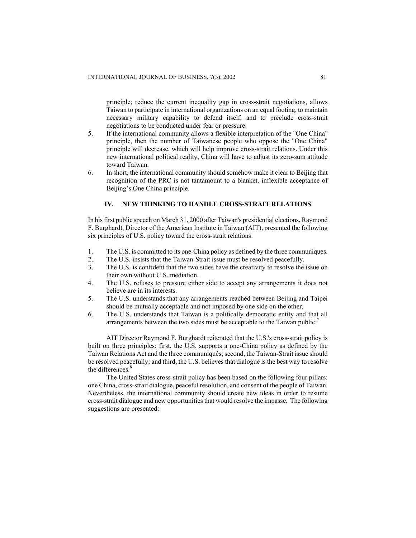principle; reduce the current inequality gap in cross-strait negotiations, allows Taiwan to participate in international organizations on an equal footing, to maintain necessary military capability to defend itself, and to preclude cross-strait negotiations to be conducted under fear or pressure.

- 5. If the international community allows a flexible interpretation of the "One China" principle, then the number of Taiwanese people who oppose the "One China" principle will decrease, which will help improve cross-strait relations. Under this new international political reality, China will have to adjust its zero-sum attitude toward Taiwan.
- 6. In short, the international community should somehow make it clear to Beijing that recognition of the PRC is not tantamount to a blanket, inflexible acceptance of Beijing's One China principle.

### **IV. NEW THINKING TO HANDLE CROSS-STRAIT RELATIONS**

In his first public speech on March 31, 2000 after Taiwan's presidential elections, Raymond F. Burghardt, Director of the American Institute in Taiwan (AIT), presented the following six principles of U.S. policy toward the cross-strait relations:

- 1. The U.S. is committed to its one-China policy as defined by the three communiques.
- 2. The U.S. insists that the Taiwan-Strait issue must be resolved peacefully.
- 3. The U.S. is confident that the two sides have the creativity to resolve the issue on their own without U.S. mediation.
- 4. The U.S. refuses to pressure either side to accept any arrangements it does not believe are in its interests.
- 5. The U.S. understands that any arrangements reached between Beijing and Taipei should be mutually acceptable and not imposed by one side on the other.
- 6. The U.S. understands that Taiwan is a politically democratic entity and that all arrangements between the two sides must be acceptable to the Taiwan public.<sup>7</sup>

AIT Director Raymond F. Burghardt reiterated that the U.S.'s cross-strait policy is built on three principles: first, the U.S. supports a one-China policy as defined by the Taiwan Relations Act and the three communiqués; second, the Taiwan-Strait issue should be resolved peacefully; and third, the U.S. believes that dialogue is the best way to resolve the differences.<sup>8</sup>

The United States cross-strait policy has been based on the following four pillars: one China, cross-strait dialogue, peaceful resolution, and consent of the people of Taiwan. Nevertheless, the international community should create new ideas in order to resume cross-strait dialogue and new opportunities that would resolve the impasse. The following suggestions are presented: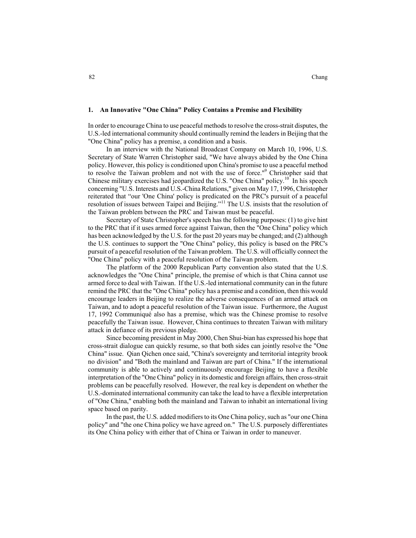#### **1. An Innovative "One China" Policy Contains a Premise and Flexibility**

In order to encourage China to use peaceful methods to resolve the cross-strait disputes, the U.S.-led international community should continually remind the leaders in Beijing that the "One China" policy has a premise, a condition and a basis.

In an interview with the National Broadcast Company on March 10, 1996, U.S. Secretary of State Warren Christopher said, "We have always abided by the One China policy. However, this policy is conditioned upon China's promise to use a peaceful method to resolve the Taiwan problem and not with the use of force."<sup>9</sup> Christopher said that Chinese military exercises had jeopardized the U.S. "One China" policy.<sup>10</sup> In his speech concerning "U.S. Interests and U.S.-China Relations," given on May 17, 1996, Christopher reiterated that "our 'One China' policy is predicated on the PRC's pursuit of a peaceful resolution of issues between Taipei and Beijing."<sup>11</sup> The U.S. insists that the resolution of the Taiwan problem between the PRC and Taiwan must be peaceful.

Secretary of State Christopher's speech has the following purposes: (1) to give hint to the PRC that if it uses armed force against Taiwan, then the "One China" policy which has been acknowledged by the U.S. for the past 20 years may be changed; and (2) although the U.S. continues to support the "One China" policy, this policy is based on the PRC's pursuit of a peaceful resolution of the Taiwan problem. The U.S. will officially connect the "One China" policy with a peaceful resolution of the Taiwan problem.

The platform of the 2000 Republican Party convention also stated that the U.S. acknowledges the "One China" principle, the premise of which is that China cannot use armed force to deal with Taiwan. If the U.S.-led international community can in the future remind the PRC that the "One China" policy has a premise and a condition, then this would encourage leaders in Beijing to realize the adverse consequences of an armed attack on Taiwan, and to adopt a peaceful resolution of the Taiwan issue. Furthermore, the August 17, 1992 Communiqué also has a premise, which was the Chinese promise to resolve peacefully the Taiwan issue. However, China continues to threaten Taiwan with military attack in defiance of its previous pledge.

Since becoming president in May 2000, Chen Shui-bian has expressed his hope that cross-strait dialogue can quickly resume, so that both sides can jointly resolve the "One China" issue. Qian Qichen once said, "China's sovereignty and territorial integrity brook no division" and "Both the mainland and Taiwan are part of China." If the international community is able to actively and continuously encourage Beijing to have a flexible interpretation of the "One China" policy in its domestic and foreign affairs, then cross-strait problems can be peacefully resolved. However, the real key is dependent on whether the U.S.-dominated international community can take the lead to have a flexible interpretation of "One China," enabling both the mainland and Taiwan to inhabit an international living space based on parity.

In the past, the U.S. added modifiers to its One China policy, such as "our one China policy" and "the one China policy we have agreed on." The U.S. purposely differentiates its One China policy with either that of China or Taiwan in order to maneuver.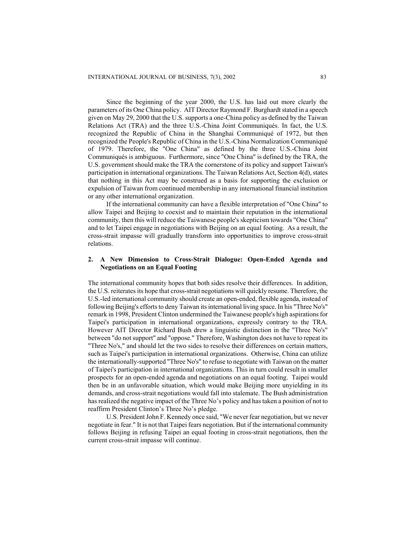Since the beginning of the year 2000, the U.S. has laid out more clearly the parameters of its One China policy. AIT Director Raymond F. Burghardt stated in a speech given on May 29, 2000 that the U.S. supports a one-China policy as defined by the Taiwan Relations Act (TRA) and the three U.S.-China Joint Communiqués. In fact, the U.S. recognized the Republic of China in the Shanghai Communiqué of 1972, but then recognized the People's Republic of China in the U.S.-China Normalization Communiqué of 1979. Therefore, the "One China" as defined by the three U.S.-China Joint Communiqués is ambiguous. Furthermore, since "One China" is defined by the TRA, the U.S. government should make the TRA the cornerstone of its policy and support Taiwan's participation in international organizations. The Taiwan Relations Act, Section 4(d), states that nothing in this Act may be construed as a basis for supporting the exclusion or expulsion of Taiwan from continued membership in any international financial institution or any other international organization.

If the international community can have a flexible interpretation of "One China" to allow Taipei and Beijing to coexist and to maintain their reputation in the international community, then this will reduce the Taiwanese people's skepticism towards "One China" and to let Taipei engage in negotiations with Beijing on an equal footing. As a result, the cross-strait impasse will gradually transform into opportunities to improve cross-strait relations.

#### **2. A New Dimension to Cross-Strait Dialogue: Open-Ended Agenda and Negotiations on an Equal Footing**

The international community hopes that both sides resolve their differences. In addition, the U.S. reiterates its hope that cross-strait negotiations will quickly resume. Therefore, the U.S.-led international community should create an open-ended, flexible agenda, instead of following Beijing's efforts to deny Taiwan its international living space. In his "Three No's" remark in 1998, President Clinton undermined the Taiwanese people's high aspirationsfor Taipei's participation in international organizations, expressly contrary to the TRA. However AIT Director Richard Bush drew a linguistic distinction in the "Three No's" between "do not support" and "oppose." Therefore, Washington does not have to repeat its "Three No's," and should let the two sides to resolve their differences on certain matters, such as Taipei's participation in international organizations. Otherwise, China can utilize the internationally-supported "Three No's" to refuse to negotiate with Taiwan on the matter of Taipei's participation in international organizations. This in turn could result in smaller prospects for an open-ended agenda and negotiations on an equal footing. Taipei would then be in an unfavorable situation, which would make Beijing more unyielding in its demands, and cross-strait negotiations would fall into stalemate. The Bush administration has realized the negative impact of the Three No's policy and has taken a position of not to reaffirm President Clinton's Three No's pledge.

U.S. President John F. Kennedy once said, "We never fear negotiation, but we never negotiate in fear." It is not that Taipei fears negotiation. But if the international community follows Beijing in refusing Taipei an equal footing in cross-strait negotiations, then the current cross-strait impasse will continue.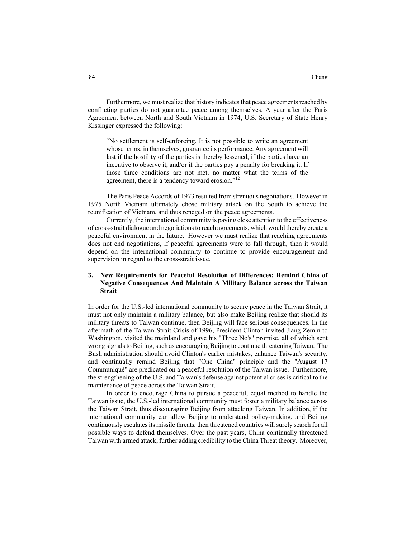Furthermore, we must realize that history indicates that peace agreements reached by conflicting parties do not guarantee peace among themselves. A year after the Paris Agreement between North and South Vietnam in 1974, U.S. Secretary of State Henry Kissinger expressed the following:

"No settlement is self-enforcing. It is not possible to write an agreement whose terms, in themselves, guarantee its performance. Any agreement will last if the hostility of the parties is thereby lessened, if the parties have an incentive to observe it, and/or if the parties pay a penalty for breaking it. If those three conditions are not met, no matter what the terms of the agreement, there is a tendency toward erosion."<sup>12</sup>

The Paris Peace Accords of 1973 resulted from strenuous negotiations. However in 1975 North Vietnam ultimately chose military attack on the South to achieve the reunification of Vietnam, and thus reneged on the peace agreements.

Currently, the international community is paying close attention to the effectiveness of cross-strait dialogue and negotiations to reach agreements, which would thereby create a peaceful environment in the future. However we must realize that reaching agreements does not end negotiations, if peaceful agreements were to fall through, then it would depend on the international community to continue to provide encouragement and supervision in regard to the cross-strait issue.

## **3. New Requirements for Peaceful Resolution of Differences: Remind China of Negative Consequences And Maintain A Military Balance across the Taiwan Strait**

In order for the U.S.-led international community to secure peace in the Taiwan Strait, it must not only maintain a military balance, but also make Beijing realize that should its military threats to Taiwan continue, then Beijing will face serious consequences. In the aftermath of the Taiwan-Strait Crisis of 1996, President Clinton invited Jiang Zemin to Washington, visited the mainland and gave his "Three No's" promise, all of which sent wrong signals to Beijing, such as encouraging Beijing to continue threatening Taiwan. The Bush administration should avoid Clinton's earlier mistakes, enhance Taiwan's security, and continually remind Beijing that "One China" principle and the "August 17 Communiqué" are predicated on a peaceful resolution of the Taiwan issue. Furthermore, the strengthening of the U.S. and Taiwan's defense against potential crises is critical to the maintenance of peace across the Taiwan Strait.

In order to encourage China to pursue a peaceful, equal method to handle the Taiwan issue, the U.S.-led international community must foster a military balance across the Taiwan Strait, thus discouraging Beijing from attacking Taiwan. In addition, if the international community can allow Beijing to understand policy-making, and Beijing continuously escalates its missile threats, then threatened countries will surely search for all possible ways to defend themselves. Over the past years, China continually threatened Taiwan with armed attack, further adding credibility to the China Threat theory. Moreover,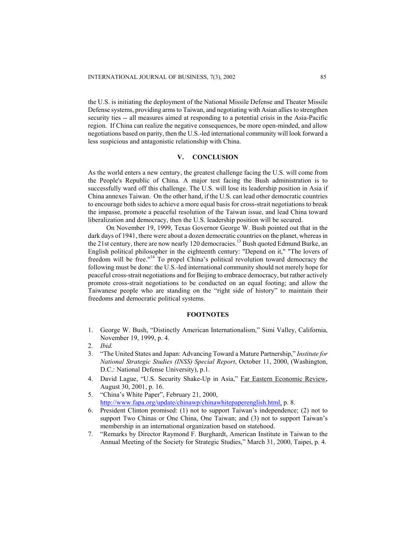the U.S. is initiating the deployment of the National Missile Defense and Theater Missile Defense systems, providing arms to Taiwan, and negotiating with Asian allies to strengthen security ties -- all measures aimed at responding to a potential crisis in the Asia-Pacific region. If China can realize the negative consequences, be more open-minded, and allow negotiations based on parity, then the U.S.-led international community will look forward a less suspicious and antagonistic relationship with China.

## **V. CONCLUSION**

As the world enters a new century, the greatest challenge facing the U.S. will come from the People's Republic of China. A major test facing the Bush administration is to successfully ward off this challenge. The U.S. will lose its leadership position in Asia if China annexes Taiwan. On the other hand, if the U.S. can lead other democratic countries to encourage both sides to achieve a more equal basis for cross-strait negotiations to break the impasse, promote a peaceful resolution of the Taiwan issue, and lead China toward liberalization and democracy, then the U.S. leadership position will be secured.

On November 19, 1999, Texas Governor George W. Bush pointed out that in the dark days of 1941, there were about a dozen democratic countries on the planet, whereas in the 21st century, there are now nearly 120 democracies.<sup>13</sup> Bush quoted Edmund Burke, an English political philosopher in the eighteenth century: "Depend on it," "The lovers of freedom will be free."<sup>14</sup> To propel China's political revolution toward democracy the following must be done: the U.S.-led international community should not merely hope for peaceful cross-strait negotiations and for Beijing to embrace democracy, but rather actively promote cross-strait negotiations to be conducted on an equal footing; and allow the Taiwanese people who are standing on the "right side of history" to maintain their freedoms and democratic political systems.

#### **FOOTNOTES**

- 1. George W. Bush, "Distinctly American Internationalism," Simi Valley, California, November 19, 1999, p. 4.
- 2. *Ibid.*
- 3. "The United States and Japan: Advancing Toward a Mature Partnership," *Institute for National Strategic Studies (INSS) Special Report*, October 11, 2000, (Washington, D.C.: National Defense University), p.1.
- 4. David Lague, "U.S. Security Shake-Up in Asia," Far Eastern Economic Review, August 30, 2001, p. 16.
- 5. "China's White Paper", February 21, 2000, http://www.fapa.org/update/chinawp/chinawhitepaperenglish.html, p. 8.
- 6. President Clinton promised: (1) not to support Taiwan's independence; (2) not to support Two Chinas or One China, One Taiwan; and (3) not to support Taiwan's membership in an international organization based on statehood.
- 7. "Remarks by Director Raymond F. Burghardt, American Institute in Taiwan to the Annual Meeting of the Society for Strategic Studies," March 31, 2000, Taipei, p. 4.